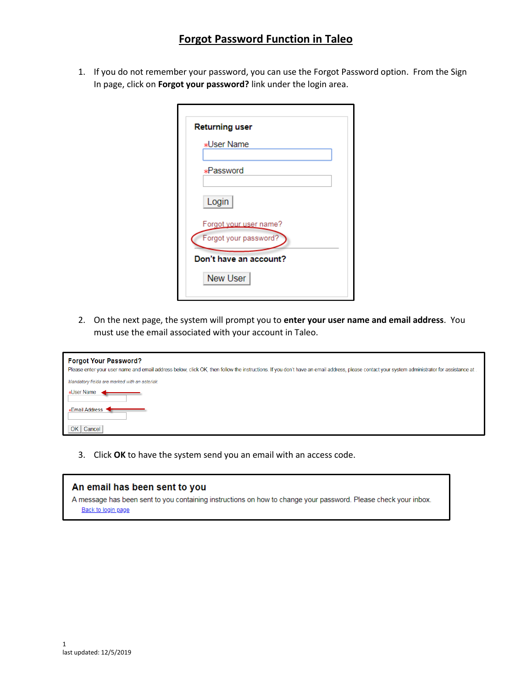## **Forgot Password Function in Taleo**

1. If you do not remember your password, you can use the Forgot Password option. From the Sign In page, click on **Forgot your password?** link under the login area.

| <b>Returning user</b>                           |
|-------------------------------------------------|
| *User Name                                      |
| <b>*Password</b>                                |
| Login                                           |
| Forgot your user name?<br>Forgot your password? |
| Don't have an account?                          |
| New User                                        |

2. On the next page, the system will prompt you to **enter your user name and email address**. You must use the email associated with your account in Taleo.

| <b>Forgot Your Password?</b><br>Please enter your user name and email address below, click OK, then follow the instructions. If you don't have an email address, please contact your system administrator for assistance at. |
|------------------------------------------------------------------------------------------------------------------------------------------------------------------------------------------------------------------------------|
| Mandatory fields are marked with an asterisk.                                                                                                                                                                                |
| *User Name                                                                                                                                                                                                                   |
| *Email Address                                                                                                                                                                                                               |
| OK<br>Cancel                                                                                                                                                                                                                 |

3. Click **OK** to have the system send you an email with an access code.

| An email has been sent to you                                                                                   |
|-----------------------------------------------------------------------------------------------------------------|
| A message has been sent to you containing instructions on how to change your password. Please check your inbox. |
| Back to login page                                                                                              |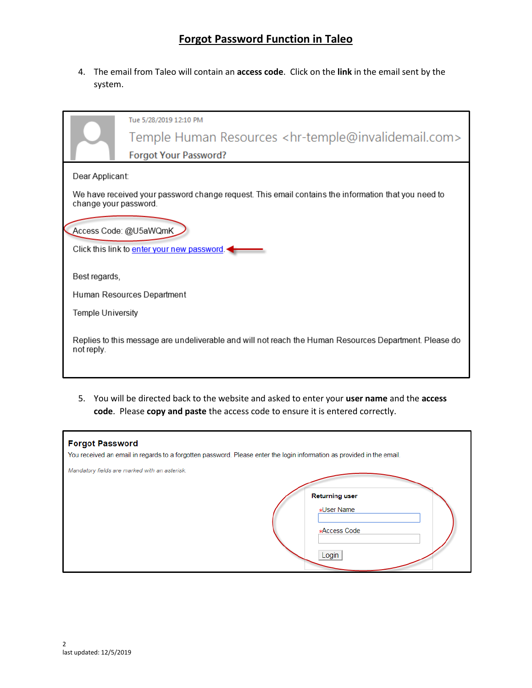4. The email from Taleo will contain an **access code**. Click on the **link** in the email sent by the system.

|                            | Tue 5/28/2019 12:10 PM                                                                                 |  |  |  |
|----------------------------|--------------------------------------------------------------------------------------------------------|--|--|--|
|                            | Temple Human Resources <hr-temple@invalidemail.com></hr-temple@invalidemail.com>                       |  |  |  |
|                            | <b>Forgot Your Password?</b>                                                                           |  |  |  |
| Dear Applicant:            |                                                                                                        |  |  |  |
| change your password.      | We have received your password change request. This email contains the information that you need to    |  |  |  |
| Access Code: @U5aWQmK      |                                                                                                        |  |  |  |
|                            | Click this link to enter your new password.                                                            |  |  |  |
| Best regards,              |                                                                                                        |  |  |  |
| Human Resources Department |                                                                                                        |  |  |  |
| Temple University          |                                                                                                        |  |  |  |
| not reply.                 | Replies to this message are undeliverable and will not reach the Human Resources Department. Please do |  |  |  |

5. You will be directed back to the website and asked to enter your **user name** and the **access code**. Please **copy and paste** the access code to ensure it is entered correctly.

| <b>Forgot Password</b><br>You received an email in regards to a forgotten password. Please enter the login information as provided in the email. |  |
|--------------------------------------------------------------------------------------------------------------------------------------------------|--|
| Mandatory fields are marked with an asterisk.<br><b>Returning user</b><br><b>*User Name</b><br><b>*Access Code</b><br>Login                      |  |